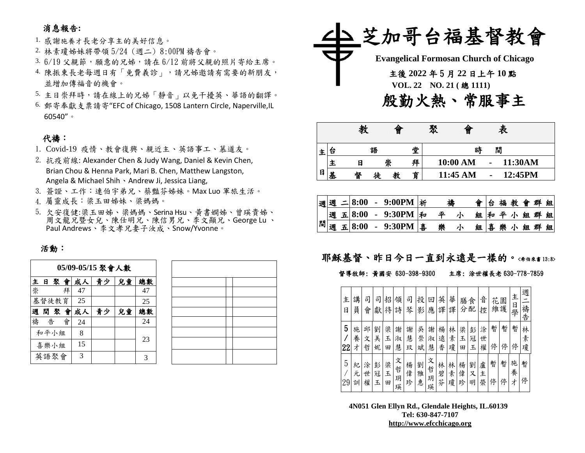## 消息報告**:**

1. 感謝施養才長老分享主的美好信息。

- 2. 林素瓊姊妹將帶領 5/24 (週二) 8:00PM 禱告會。
- $3.6/19$  父親節,願意的兄姊,請在  $6/12$  前將父親的照片寄給主席。
- 4. 陳振東長老每週日有「免費義診」,請兄姊邀請有需要的新朋友, 並增加傳福音的機會。
- 5. 主日崇拜時,請在線上的兄姊「靜音」以免干擾英、華語的翻譯。
- 6. 郵寄奉獻支票請寄"EFC of Chicago, 1508 Lantern Circle, Naperville,IL 60540"。

#### 代禱:

- 1. Covid-19 疫情、教會復興、親近主、英語事工、慕道友。
- 2. 抗疫前線: Alexander Chen & Judy Wang, Daniel & Kevin Chen, Brian Chou & Henna Park, Mari B. Chen, Matthew Langston, Angela & Michael Shih、Andrew Ji, Jessica Liang,
- 3. 簽證、工作:連伯宇弟兄、蔡豔芬姊妹。Max Luo 軍旅生活。
- 4. 屬靈成長:梁玉田姊妹、梁媽媽。
- 5. 欠安復健:梁玉田姊、梁媽媽、Serina Hsu、黃書嫻姊、曾瑛貴姊、 周文龍兄暨女兒、陳仕明兄、陳信男兄、李文顯兄、George Lu 、 Paul Andrews、李文孝兄妻子汝成、Snow/Yvonne。

#### 活動:

聚 會 聚 會 聚 會

| 05/09-05/15 聚會人數 |   |       |    |    |    |    |    |  |  |
|------------------|---|-------|----|----|----|----|----|--|--|
| $\pmb{\pm}$      | 日 | 聚會    | 兒童 | 總數 |    |    |    |  |  |
| 崇                |   |       | 拜  | 47 |    |    | 47 |  |  |
|                  |   | 基督徒教育 |    | 25 |    |    | 25 |  |  |
| 週                |   | 間聚會   |    | 成人 | 青少 | 兒童 | 總數 |  |  |
| 禱                | 告 |       | 會  | 24 |    |    | 24 |  |  |
|                  |   | 和平小組  |    | 8  |    |    |    |  |  |
|                  |   | 喜樂小組  |    | 15 |    |    | 23 |  |  |
|                  |   | 英語聚會  |    | 3  |    |    | 3  |  |  |

 $\overline{a}$ 



|   |   | 教 |   | 旨 |   | 聚      | 曾        |  | 表 |         |  |  |
|---|---|---|---|---|---|--------|----------|--|---|---------|--|--|
|   | Б |   | 語 |   |   | 閒<br>時 |          |  |   |         |  |  |
|   | 王 | E |   | 崇 | 拜 |        | 10:00 AM |  |   | 11:30AM |  |  |
| 日 | 基 | 督 | 徒 | 教 | 育 |        | 11:45 AM |  |   | 12:45PM |  |  |

|  |  |  | 週週 二8:00 - 9:00PM 浙 | 禱 |   | 會台福教會群組 |  |  |         |  |
|--|--|--|---------------------|---|---|---------|--|--|---------|--|
|  |  |  | 週 五8:00 - 9:30PM 和  | 平 | 示 |         |  |  | 組和平小組群組 |  |
|  |  |  | 間週五8:00 - 9:30PM 喜  | 樂 | 小 |         |  |  | 組喜樂小組群組 |  |

## 耶穌基督、昨日今日一直到永遠是一樣的。<希伯來書13:8>

#### 督導牧師: 黃國安 630-398-9300 主席: 涂世權長老 630-778-7859

| 主<br>日  | 講<br>員      | 司<br>會      | 司<br>獻      | 招<br>待      | 領<br>詩           | 司<br>琴      | 投<br>影      | 回<br>應           | 英<br>譯      | 華<br>譯      | 膳<br>分      | 食<br>配      | 音<br>控      | 花      | 園<br>維護 | 主<br>日學     | 週<br>禱告     |
|---------|-------------|-------------|-------------|-------------|------------------|-------------|-------------|------------------|-------------|-------------|-------------|-------------|-------------|--------|---------|-------------|-------------|
| 5<br>22 | 施<br>養<br>ォ | 邱<br>文<br>哲 | 劉<br>美<br>妮 | 梁<br>玉<br>田 | 謝<br>淑<br>慧      | 謝<br>慧<br>玟 | 吳<br>崇<br>斌 | 謝<br>淑<br>慧      | 楊<br>遠<br>香 | 林<br>素<br>瓊 | 梁<br>玉<br>田 | 彭<br>冠<br>玉 | 涂<br>世<br>權 | 暫<br>停 | 暫<br>停  | 暫<br>停      | 林<br>素<br>瓊 |
| 5<br>29 | 紀<br>元<br>訓 | 涂<br>世<br>權 | 彭<br>冠<br>玉 | 梁<br>玉<br>田 | 文<br>哲<br>玥<br>瑛 | 楊<br>偉<br>珍 | 劉<br>雅<br>惠 | 文<br>哲<br>玥<br>瑛 | 林<br>碧<br>芬 | 林<br>素<br>瓊 | 楊<br>偉<br>珍 | 劉<br>又<br>明 | 盧<br>主<br>榮 | 暫<br>停 | 暫<br>停  | 施<br>養<br>才 | 暫<br>停      |

**4N051 Glen Ellyn Rd., Glendale Heights, IL.60139 Tel: 630-847-7107 [http://www.efcchicago.org](http://www.efcchicago.org/)**